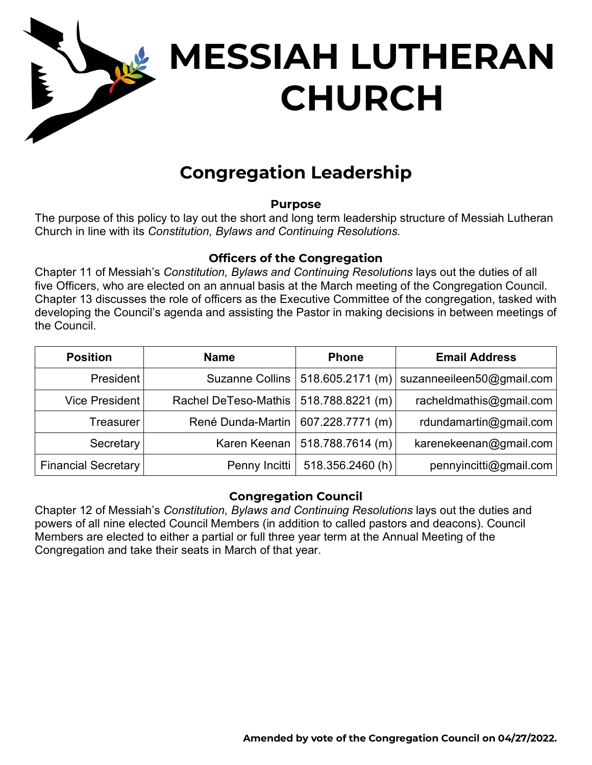

# **MESSIAH LUTHERAN CHURCH**

# **Congregation Leadership**

## **Purpose**

The purpose of this policy to lay out the short and long term leadership structure of Messiah Lutheran Church in line with its *Constitution, Bylaws and Continuing Resolutions.*

# **Officers of the Congregation**

Chapter 11 of Messiah's *Constitution, Bylaws and Continuing Resolutions* lays out the duties of all five Officers, who are elected on an annual basis at the March meeting of the Congregation Council. Chapter 13 discusses the role of officers as the Executive Committee of the congregation, tasked with developing the Council's agenda and assisting the Pastor in making decisions in between meetings of the Council.

| <b>Position</b>            | <b>Name</b>                             | <b>Phone</b>                       | <b>Email Address</b>      |
|----------------------------|-----------------------------------------|------------------------------------|---------------------------|
| President                  |                                         | Suzanne Collins   518.605.2171 (m) | suzanneeileen50@gmail.com |
| Vice President             | Rachel DeTeso-Mathis   518.788.8221 (m) |                                    | racheldmathis@gmail.com   |
| Treasurer                  | René Dunda-Martin   607.228.7771 (m)    |                                    | rdundamartin@gmail.com    |
| Secretary                  |                                         | Karen Keenan   518.788.7614 (m)    | karenekeenan@gmail.com    |
| <b>Financial Secretary</b> | Penny Incitti                           | 518.356.2460(h)                    | pennyincitti@gmail.com    |

## **Congregation Council**

Chapter 12 of Messiah's *Constitution, Bylaws and Continuing Resolutions* lays out the duties and powers of all nine elected Council Members (in addition to called pastors and deacons). Council Members are elected to either a partial or full three year term at the Annual Meeting of the Congregation and take their seats in March of that year.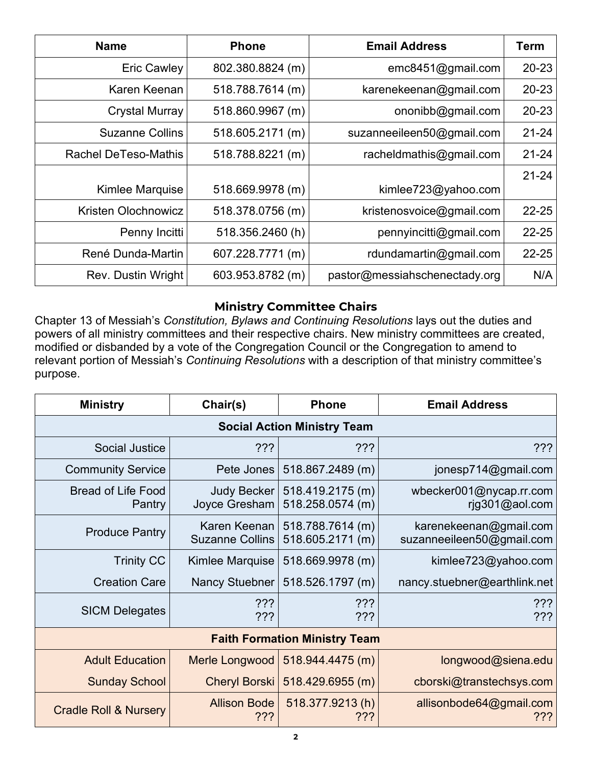| <b>Name</b>                 | <b>Phone</b>     | <b>Email Address</b>          | <b>Term</b> |
|-----------------------------|------------------|-------------------------------|-------------|
| <b>Eric Cawley</b>          | 802.380.8824 (m) | emc8451@gmail.com             | $20 - 23$   |
| Karen Keenan                | 518.788.7614 (m) | karenekeenan@gmail.com        | 20-23       |
| Crystal Murray              | 518.860.9967 (m) | ononibb@gmail.com             | $20 - 23$   |
| <b>Suzanne Collins</b>      | 518.605.2171 (m) | suzanneeileen50@gmail.com     | $21 - 24$   |
| <b>Rachel DeTeso-Mathis</b> | 518.788.8221 (m) | racheldmathis@gmail.com       | $21 - 24$   |
|                             |                  |                               | $21 - 24$   |
| Kimlee Marquise             | 518.669.9978 (m) | kimlee723@yahoo.com           |             |
| Kristen Olochnowicz         | 518.378.0756 (m) | kristenosvoice@gmail.com      | $22 - 25$   |
| Penny Incitti               | 518.356.2460(h)  | pennyincitti@gmail.com        | $22 - 25$   |
| René Dunda-Martin           | 607.228.7771 (m) | rdundamartin@gmail.com        | $22 - 25$   |
| Rev. Dustin Wright          | 603.953.8782 (m) | pastor@messiahschenectady.org | N/A         |

## **Ministry Committee Chairs**

Chapter 13 of Messiah's *Constitution, Bylaws and Continuing Resolutions* lays out the duties and powers of all ministry committees and their respective chairs. New ministry committees are created, modified or disbanded by a vote of the Congregation Council or the Congregation to amend to relevant portion of Messiah's *Continuing Resolutions* with a description of that ministry committee's purpose.

| <b>Ministry</b>                      | Chair(s)                               | <b>Phone</b>                         | <b>Email Address</b>                                |  |  |  |  |
|--------------------------------------|----------------------------------------|--------------------------------------|-----------------------------------------------------|--|--|--|--|
| <b>Social Action Ministry Team</b>   |                                        |                                      |                                                     |  |  |  |  |
| <b>Social Justice</b>                | ???                                    | ???                                  | ???                                                 |  |  |  |  |
| <b>Community Service</b>             | Pete Jones                             | 518.867.2489 (m)                     | jonesp714@gmail.com                                 |  |  |  |  |
| <b>Bread of Life Food</b><br>Pantry  | <b>Judy Becker</b><br>Joyce Gresham    | 518.419.2175 (m)<br>518.258.0574 (m) | wbecker001@nycap.rr.com<br>rjg301@aol.com           |  |  |  |  |
| <b>Produce Pantry</b>                | Karen Keenan<br><b>Suzanne Collins</b> | 518.788.7614 (m)<br>518.605.2171 (m) | karenekeenan@gmail.com<br>suzanneeileen50@gmail.com |  |  |  |  |
| <b>Trinity CC</b>                    | Kimlee Marquise                        | 518.669.9978 (m)                     | kimlee723@yahoo.com                                 |  |  |  |  |
| <b>Creation Care</b>                 | <b>Nancy Stuebner</b>                  | 518.526.1797 (m)                     | nancy.stuebner@earthlink.net                        |  |  |  |  |
| <b>SICM Delegates</b>                | ???<br>???                             | ???<br>???                           | ???<br>???                                          |  |  |  |  |
| <b>Faith Formation Ministry Team</b> |                                        |                                      |                                                     |  |  |  |  |
| <b>Adult Education</b>               | Merle Longwood                         | 518.944.4475(m)                      | longwood@siena.edu                                  |  |  |  |  |
| <b>Sunday School</b>                 | <b>Cheryl Borski</b>                   | 518.429.6955 (m)                     | cborski@transtechsys.com                            |  |  |  |  |
| <b>Cradle Roll &amp; Nursery</b>     | <b>Allison Bode</b><br>???             | 518.377.9213(h)<br>???               | allisonbode64@gmail.com<br>???                      |  |  |  |  |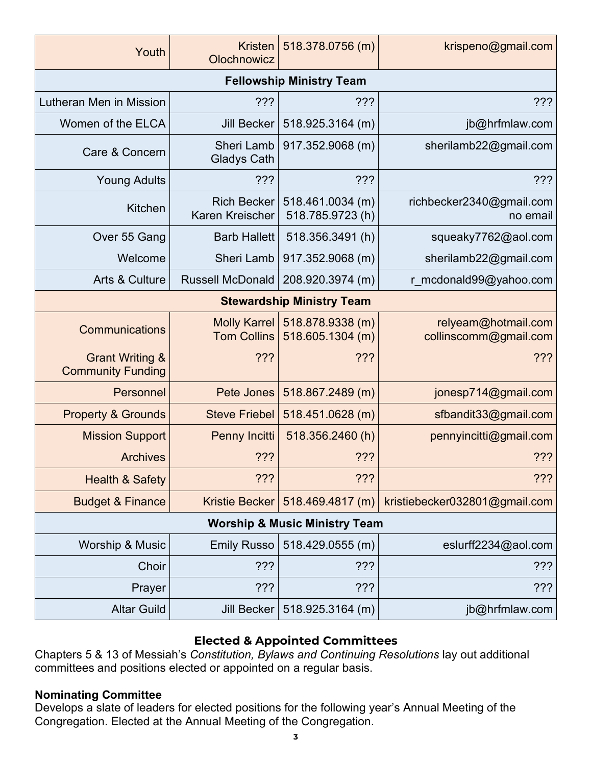| Youth                                                  | <b>Kristen</b><br>Olochnowicz         | 518.378.0756 (m)                     | krispeno@gmail.com                           |  |  |  |  |
|--------------------------------------------------------|---------------------------------------|--------------------------------------|----------------------------------------------|--|--|--|--|
| <b>Fellowship Ministry Team</b>                        |                                       |                                      |                                              |  |  |  |  |
| Lutheran Men in Mission                                | 222                                   | ???                                  | 222                                          |  |  |  |  |
| Women of the ELCA                                      | <b>Jill Becker</b>                    | 518.925.3164 (m)                     | jb@hrfmlaw.com                               |  |  |  |  |
| Care & Concern                                         | Sheri Lamb<br><b>Gladys Cath</b>      | 917.352.9068 (m)                     | sherilamb22@gmail.com                        |  |  |  |  |
| <b>Young Adults</b>                                    | 222                                   | ?                                    | ???                                          |  |  |  |  |
| Kitchen                                                | <b>Rich Becker</b><br>Karen Kreischer | 518.461.0034 (m)<br>518.785.9723(h)  | richbecker2340@gmail.com<br>no email         |  |  |  |  |
| Over 55 Gang                                           | <b>Barb Hallett</b>                   | 518.356.3491(h)                      | squeaky7762@aol.com                          |  |  |  |  |
| Welcome                                                | Sheri Lamb                            | 917.352.9068 (m)                     | sherilamb22@gmail.com                        |  |  |  |  |
| Arts & Culture                                         | <b>Russell McDonald</b>               | 208.920.3974 (m)                     | r mcdonald99@yahoo.com                       |  |  |  |  |
| <b>Stewardship Ministry Team</b>                       |                                       |                                      |                                              |  |  |  |  |
| Communications                                         | Molly Karrel<br><b>Tom Collins</b>    | 518.878.9338 (m)<br>518.605.1304 (m) | relyeam@hotmail.com<br>collinscomm@gmail.com |  |  |  |  |
| <b>Grant Writing &amp;</b><br><b>Community Funding</b> | 222                                   | ???                                  | 222                                          |  |  |  |  |
| Personnel                                              | Pete Jones                            | 518.867.2489 (m)                     | jonesp714@gmail.com                          |  |  |  |  |
| <b>Property &amp; Grounds</b>                          | <b>Steve Friebel</b>                  | 518.451.0628 (m)                     | sfbandit33@gmail.com                         |  |  |  |  |
| <b>Mission Support</b>                                 | Penny Incitti                         | 518.356.2460(h)                      | pennyincitti@gmail.com                       |  |  |  |  |
| <b>Archives</b>                                        | 222                                   | 222                                  | ?                                            |  |  |  |  |
| <b>Health &amp; Safety</b>                             | 222                                   | 222                                  | ?                                            |  |  |  |  |
| <b>Budget &amp; Finance</b>                            | Kristie Becker                        | 518.469.4817 (m)                     | kristiebecker032801@gmail.com                |  |  |  |  |
| <b>Worship &amp; Music Ministry Team</b>               |                                       |                                      |                                              |  |  |  |  |
| <b>Worship &amp; Music</b>                             | <b>Emily Russo</b>                    | 518.429.0555 (m)                     | eslurff2234@aol.com                          |  |  |  |  |
| Choir                                                  | ???                                   | ???                                  | ?                                            |  |  |  |  |
| Prayer                                                 | ???                                   | ???                                  | ???                                          |  |  |  |  |
| <b>Altar Guild</b>                                     | Jill Becker                           | 518.925.3164 (m)                     | jb@hrfmlaw.com                               |  |  |  |  |

# **Elected & Appointed Committees**

Chapters 5 & 13 of Messiah's *Constitution, Bylaws and Continuing Resolutions* lay out additional committees and positions elected or appointed on a regular basis.

#### **Nominating Committee**

Develops a slate of leaders for elected positions for the following year's Annual Meeting of the Congregation. Elected at the Annual Meeting of the Congregation.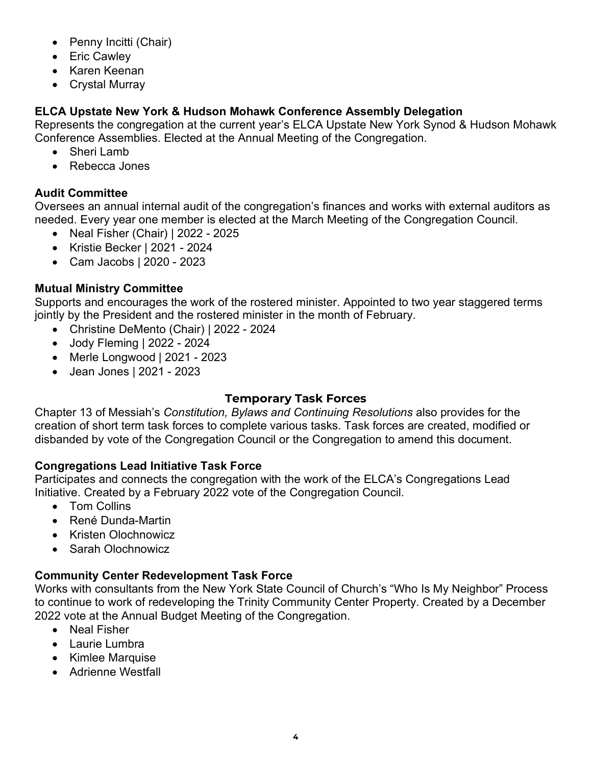- Penny Incitti (Chair)
- Eric Cawley
- Karen Keenan
- Crystal Murray

# **ELCA Upstate New York & Hudson Mohawk Conference Assembly Delegation**

Represents the congregation at the current year's ELCA Upstate New York Synod & Hudson Mohawk Conference Assemblies. Elected at the Annual Meeting of the Congregation.

- Sheri Lamb
- Rebecca Jones

# **Audit Committee**

Oversees an annual internal audit of the congregation's finances and works with external auditors as needed. Every year one member is elected at the March Meeting of the Congregation Council.

- Neal Fisher (Chair) | 2022 2025
- Kristie Becker | 2021 2024
- Cam Jacobs | 2020 2023

# **Mutual Ministry Committee**

Supports and encourages the work of the rostered minister. Appointed to two year staggered terms jointly by the President and the rostered minister in the month of February.

- Christine DeMento (Chair) | 2022 2024
- Jody Fleming | 2022 2024
- Merle Longwood | 2021 2023
- Jean Jones | 2021 2023

## **Temporary Task Forces**

Chapter 13 of Messiah's *Constitution, Bylaws and Continuing Resolutions* also provides for the creation of short term task forces to complete various tasks. Task forces are created, modified or disbanded by vote of the Congregation Council or the Congregation to amend this document.

## **Congregations Lead Initiative Task Force**

Participates and connects the congregation with the work of the ELCA's Congregations Lead Initiative. Created by a February 2022 vote of the Congregation Council.

- Tom Collins
- René Dunda-Martin
- Kristen Olochnowicz
- Sarah Olochnowicz

## **Community Center Redevelopment Task Force**

Works with consultants from the New York State Council of Church's "Who Is My Neighbor" Process to continue to work of redeveloping the Trinity Community Center Property. Created by a December 2022 vote at the Annual Budget Meeting of the Congregation.

- Neal Fisher
- Laurie Lumbra
- Kimlee Marquise
- Adrienne Westfall